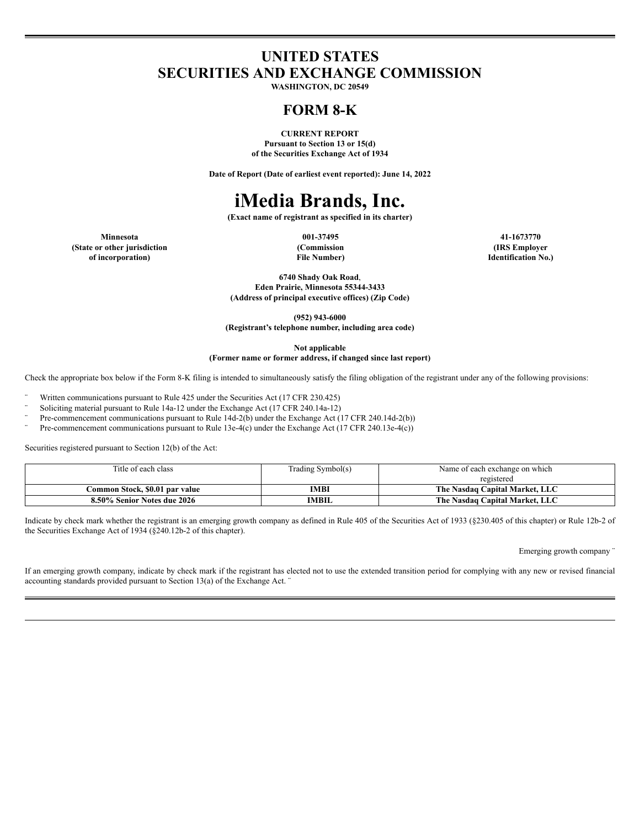# **UNITED STATES SECURITIES AND EXCHANGE COMMISSION**

**WASHINGTON, DC 20549**

# **FORM 8-K**

**CURRENT REPORT Pursuant to Section 13 or 15(d) of the Securities Exchange Act of 1934**

**Date of Report (Date of earliest event reported): June 14, 2022**

# **iMedia Brands, Inc.**

**(Exact name of registrant as specified in its charter)**

**Minnesota 001-37495 41-1673770 (State or other jurisdiction of incorporation)**

**(Commission File Number)**

**(IRS Employer Identification No.)**

**6740 Shady Oak Road**, **Eden Prairie, Minnesota 55344-3433 (Address of principal executive offices) (Zip Code)**

**(952) 943-6000**

**(Registrant's telephone number, including area code)**

**Not applicable**

**(Former name or former address, if changed since last report)**

Check the appropriate box below if the Form 8-K filing is intended to simultaneously satisfy the filing obligation of the registrant under any of the following provisions:

Written communications pursuant to Rule 425 under the Securities Act (17 CFR 230.425)

Soliciting material pursuant to Rule 14a-12 under the Exchange Act (17 CFR 240.14a-12)

Pre-commencement communications pursuant to Rule 14d-2(b) under the Exchange Act (17 CFR 240.14d-2(b))

Pre-commencement communications pursuant to Rule 13e-4(c) under the Exchange Act (17 CFR 240.13e-4(c))

Securities registered pursuant to Section 12(b) of the Act:

| Title of each class            | Trading Symbol(s) | Name of each exchange on which |
|--------------------------------|-------------------|--------------------------------|
|                                |                   | registered                     |
| Common Stock. \$0.01 par value | IMBI              | The Nasdaq Capital Market, LLC |
| 8.50% Senior Notes due 2026    | <b>IMBIL</b>      | The Nasdaq Capital Market, LLC |

Indicate by check mark whether the registrant is an emerging growth company as defined in Rule 405 of the Securities Act of 1933 (§230.405 of this chapter) or Rule 12b-2 of the Securities Exchange Act of 1934 (§240.12b-2 of this chapter).

Emerging growth company ¨

If an emerging growth company, indicate by check mark if the registrant has elected not to use the extended transition period for complying with any new or revised financial accounting standards provided pursuant to Section 13(a) of the Exchange Act. ¨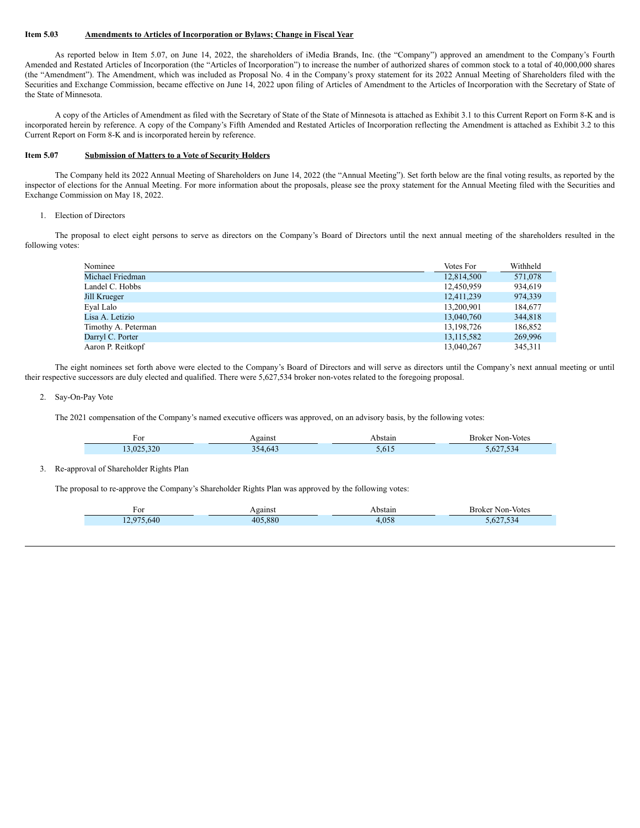# **Item 5.03 Amendments to Articles of Incorporation or Bylaws; Change in Fiscal Year**

As reported below in Item 5.07, on June 14, 2022, the shareholders of iMedia Brands, Inc. (the "Company") approved an amendment to the Company's Fourth Amended and Restated Articles of Incorporation (the "Articles of Incorporation") to increase the number of authorized shares of common stock to a total of 40,000,000 shares (the "Amendment"). The Amendment, which was included as Proposal No. 4 in the Company's proxy statement for its 2022 Annual Meeting of Shareholders filed with the Securities and Exchange Commission, became effective on June 14, 2022 upon filing of Articles of Amendment to the Articles of Incorporation with the Secretary of State of the State of Minnesota.

A copy of the Articles of Amendment as filed with the Secretary of State of the State of Minnesota is attached as Exhibit 3.1 to this Current Report on Form 8-K and is incorporated herein by reference. A copy of the Company's Fifth Amended and Restated Articles of Incorporation reflecting the Amendment is attached as Exhibit 3.2 to this Current Report on Form 8-K and is incorporated herein by reference.

# **Item 5.07 Submission of Matters to a Vote of Security Holders**

The Company held its 2022 Annual Meeting of Shareholders on June 14, 2022 (the "Annual Meeting"). Set forth below are the final voting results, as reported by the inspector of elections for the Annual Meeting. For more information about the proposals, please see the proxy statement for the Annual Meeting filed with the Securities and Exchange Commission on May 18, 2022.

#### 1. Election of Directors

The proposal to elect eight persons to serve as directors on the Company's Board of Directors until the next annual meeting of the shareholders resulted in the following votes:

| Nominee             | Votes For    | Withheld |
|---------------------|--------------|----------|
| Michael Friedman    | 12,814,500   | 571,078  |
| Landel C. Hobbs     | 12.450.959   | 934.619  |
| Jill Krueger        | 12,411,239   | 974,339  |
| Eyal Lalo           | 13,200,901   | 184,677  |
| Lisa A. Letizio     | 13,040,760   | 344,818  |
| Timothy A. Peterman | 13, 198, 726 | 186,852  |
| Darryl C. Porter    | 13.115.582   | 269,996  |
| Aaron P. Reitkopf   | 13.040.267   | 345,311  |

The eight nominees set forth above were elected to the Company's Board of Directors and will serve as directors until the Company's next annual meeting or until their respective successors are duly elected and qualified. There were 5,627,534 broker non-votes related to the foregoing proposal.

#### 2. Say-On-Pay Vote

The 2021 compensation of the Company's named executive officers was approved, on an advisory basis, by the following votes:

| For     | gainst<br>___ | stair | Broker<br>votes<br>Non<br>. |
|---------|---------------|-------|-----------------------------|
| $200 -$ | 54.64.        |       |                             |

#### 3. Re-approval of Shareholder Rights Plan

The proposal to re-approve the Company's Shareholder Rights Plan was approved by the following votes:

| For        | gainsi               | วรtair | - Votes<br>⊀roker<br>Non- |
|------------|----------------------|--------|---------------------------|
| 640<br>. . | .880<br>$\Delta 0^r$ |        |                           |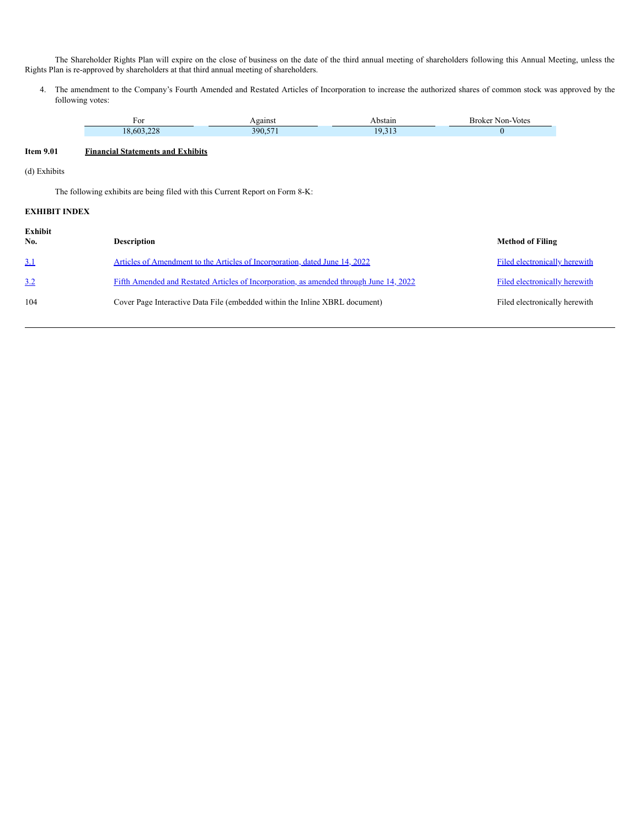The Shareholder Rights Plan will expire on the close of business on the date of the third annual meeting of shareholders following this Annual Meeting, unless the Rights Plan is re-approved by shareholders at that third annual meeting of shareholders.

4. The amendment to the Company's Fourth Amended and Restated Articles of Incorporation to increase the authorized shares of common stock was approved by the following votes:

| FOI<br>____                      | vgainst          | ostair | √on-<br>· Votes<br>Broker<br>. |
|----------------------------------|------------------|--------|--------------------------------|
| (02.22)<br>-603<br>$\sim$<br>.ZO | $- - -$<br>390,5 | ۱۵     |                                |

# **Item 9.01 Financial Statements and Exhibits**

(d) Exhibits

The following exhibits are being filed with this Current Report on Form 8-K:

# **EXHIBIT INDEX**

| Exhibit<br>No. | <b>Description</b>                                                                     | <b>Method of Filing</b>              |
|----------------|----------------------------------------------------------------------------------------|--------------------------------------|
| 3.1            | Articles of Amendment to the Articles of Incorporation, dated June 14, 2022            | <b>Filed electronically herewith</b> |
| 3.2            | Fifth Amended and Restated Articles of Incorporation, as amended through June 14, 2022 | <b>Filed electronically herewith</b> |
| 104            | Cover Page Interactive Data File (embedded within the Inline XBRL document)            | Filed electronically herewith        |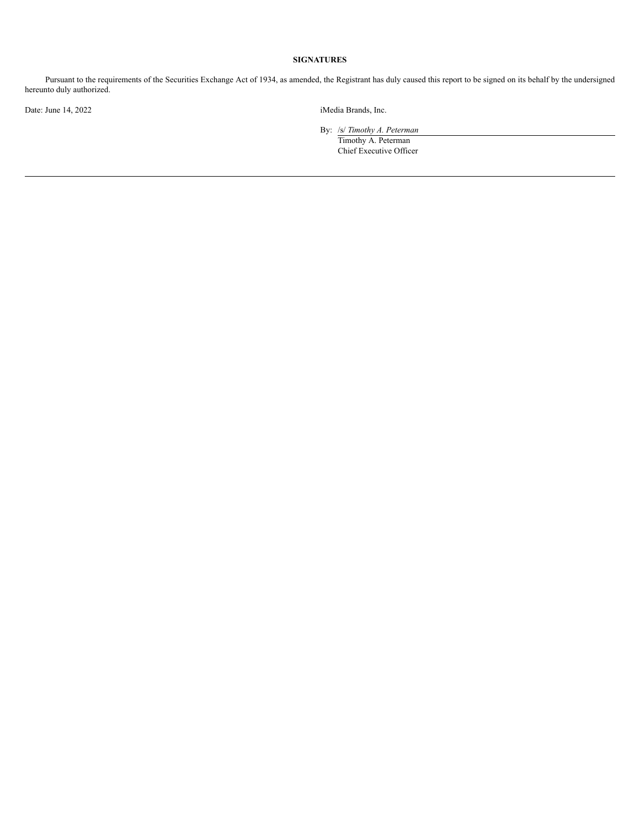# **SIGNATURES**

Pursuant to the requirements of the Securities Exchange Act of 1934, as amended, the Registrant has duly caused this report to be signed on its behalf by the undersigned hereunto duly authorized.

Date: June 14, 2022 iMedia Brands, Inc.

By: /s/ *Timothy A. Peterman*

Timothy A. Peterman Chief Executive Officer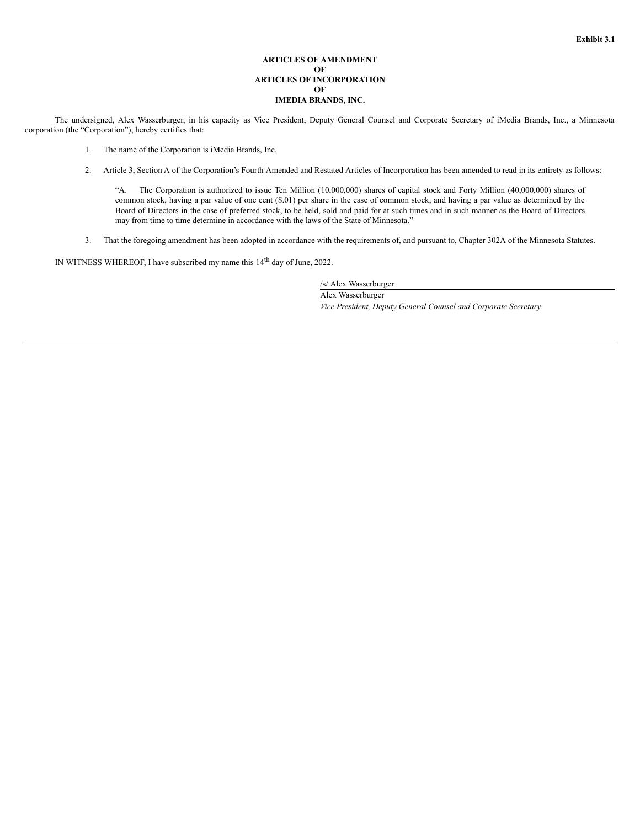#### **ARTICLES OF AMENDMENT OF ARTICLES OF INCORPORATION OF IMEDIA BRANDS, INC.**

The undersigned, Alex Wasserburger, in his capacity as Vice President, Deputy General Counsel and Corporate Secretary of iMedia Brands, Inc., a Minnesota corporation (the "Corporation"), hereby certifies that:

- 1. The name of the Corporation is iMedia Brands, Inc.
- 2. Article 3, Section A of the Corporation's Fourth Amended and Restated Articles of Incorporation has been amended to read in its entirety as follows:

"A. The Corporation is authorized to issue Ten Million (10,000,000) shares of capital stock and Forty Million (40,000,000) shares of common stock, having a par value of one cent (\$.01) per share in the case of common stock, and having a par value as determined by the Board of Directors in the case of preferred stock, to be held, sold and paid for at such times and in such manner as the Board of Directors may from time to time determine in accordance with the laws of the State of Minnesota."

3. That the foregoing amendment has been adopted in accordance with the requirements of, and pursuant to, Chapter 302A of the Minnesota Statutes.

IN WITNESS WHEREOF, I have subscribed my name this 14<sup>th</sup> day of June, 2022.

/s/ Alex Wasserburger

Alex Wasserburger *Vice President, Deputy General Counsel and Corporate Secretary*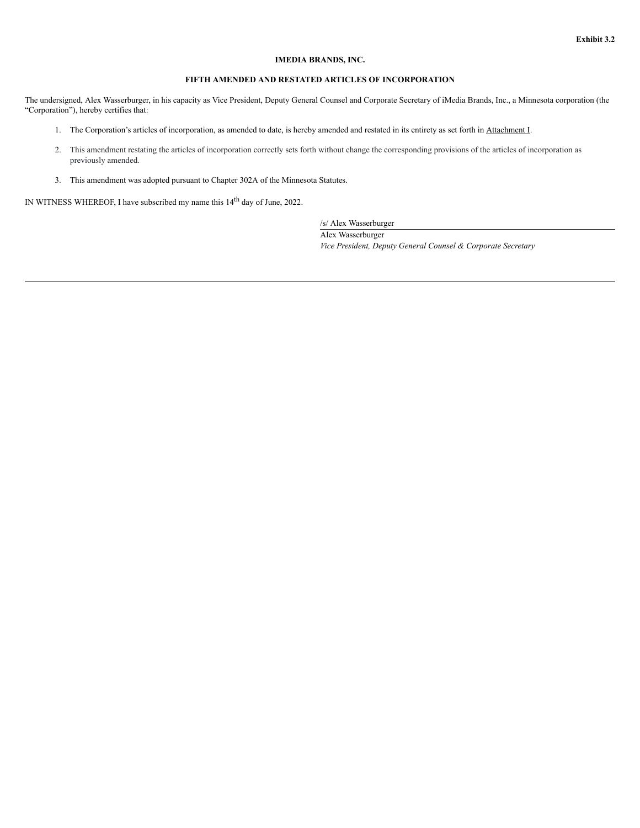# **IMEDIA BRANDS, INC.**

# **FIFTH AMENDED AND RESTATED ARTICLES OF INCORPORATION**

The undersigned, Alex Wasserburger, in his capacity as Vice President, Deputy General Counsel and Corporate Secretary of iMedia Brands, Inc., a Minnesota corporation (the "Corporation"), hereby certifies that:

- 1. The Corporation's articles of incorporation, as amended to date, is hereby amended and restated in its entirety as set forth in Attachment I.
- 2. This amendment restating the articles of incorporation correctly sets forth without change the corresponding provisions of the articles of incorporation as previously amended.
- 3. This amendment was adopted pursuant to Chapter 302A of the Minnesota Statutes.

IN WITNESS WHEREOF, I have subscribed my name this  $14<sup>th</sup>$  day of June, 2022.

/s/ Alex Wasserburger Alex Wasserburger

*Vice President, Deputy General Counsel & Corporate Secretary*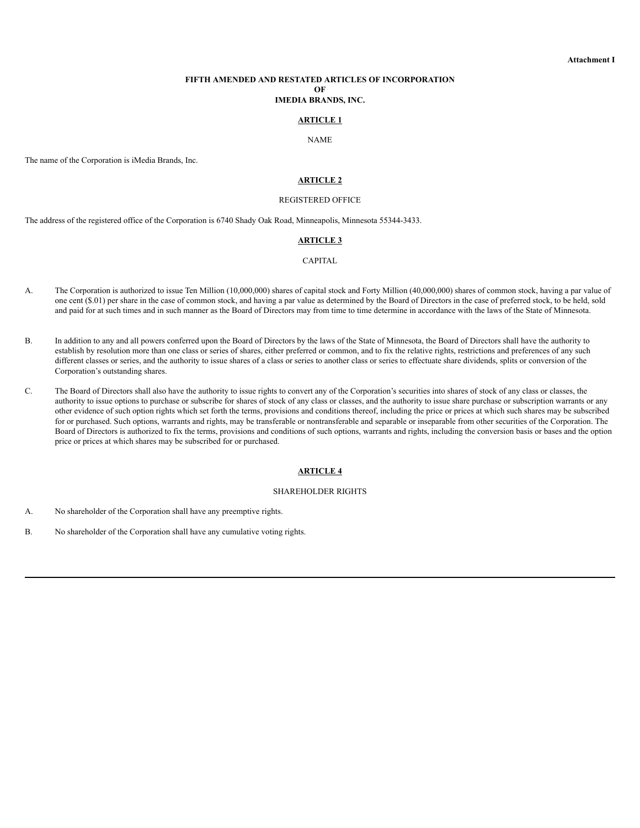#### **FIFTH AMENDED AND RESTATED ARTICLES OF INCORPORATION OF IMEDIA BRANDS, INC.**

# **ARTICLE 1**

NAME

The name of the Corporation is iMedia Brands, Inc.

# **ARTICLE 2**

## REGISTERED OFFICE

The address of the registered office of the Corporation is 6740 Shady Oak Road, Minneapolis, Minnesota 55344-3433.

# **ARTICLE 3**

**CAPITAL** 

- A. The Corporation is authorized to issue Ten Million (10,000,000) shares of capital stock and Forty Million (40,000,000) shares of common stock, having a par value of one cent (\$.01) per share in the case of common stock, and having a par value as determined by the Board of Directors in the case of preferred stock, to be held, sold and paid for at such times and in such manner as the Board of Directors may from time to time determine in accordance with the laws of the State of Minnesota.
- B. In addition to any and all powers conferred upon the Board of Directors by the laws of the State of Minnesota, the Board of Directors shall have the authority to establish by resolution more than one class or series of shares, either preferred or common, and to fix the relative rights, restrictions and preferences of any such different classes or series, and the authority to issue shares of a class or series to another class or series to effectuate share dividends, splits or conversion of the Corporation's outstanding shares.
- C. The Board of Directors shall also have the authority to issue rights to convert any of the Corporation's securities into shares of stock of any class or classes, the authority to issue options to purchase or subscribe for shares of stock of any class or classes, and the authority to issue share purchase or subscription warrants or any other evidence of such option rights which set forth the terms, provisions and conditions thereof, including the price or prices at which such shares may be subscribed for or purchased. Such options, warrants and rights, may be transferable or nontransferable and separable or inseparable from other securities of the Corporation. The Board of Directors is authorized to fix the terms, provisions and conditions of such options, warrants and rights, including the conversion basis or bases and the option price or prices at which shares may be subscribed for or purchased.

## **ARTICLE 4**

#### SHAREHOLDER RIGHTS

- A. No shareholder of the Corporation shall have any preemptive rights.
- B. No shareholder of the Corporation shall have any cumulative voting rights.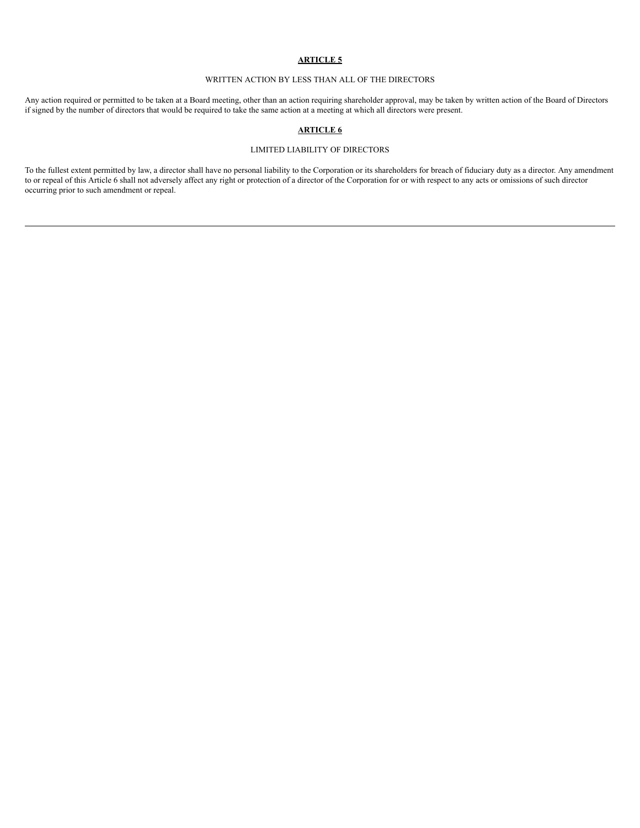# **ARTICLE 5**

# WRITTEN ACTION BY LESS THAN ALL OF THE DIRECTORS

Any action required or permitted to be taken at a Board meeting, other than an action requiring shareholder approval, may be taken by written action of the Board of Directors if signed by the number of directors that would be required to take the same action at a meeting at which all directors were present.

# **ARTICLE 6**

# LIMITED LIABILITY OF DIRECTORS

To the fullest extent permitted by law, a director shall have no personal liability to the Corporation or its shareholders for breach of fiduciary duty as a director. Any amendment to or repeal of this Article 6 shall not adversely affect any right or protection of a director of the Corporation for or with respect to any acts or omissions of such director occurring prior to such amendment or repeal.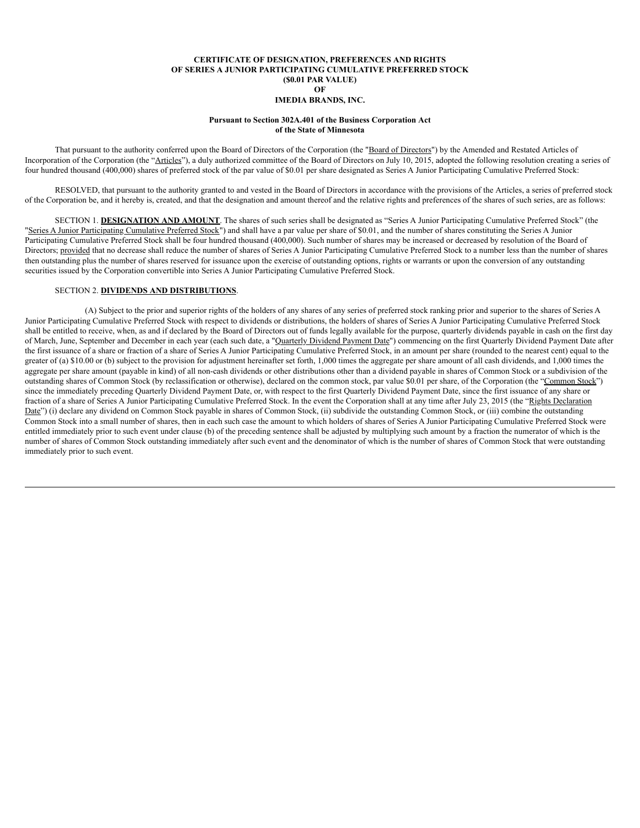#### **CERTIFICATE OF DESIGNATION, PREFERENCES AND RIGHTS OF SERIES A JUNIOR PARTICIPATING CUMULATIVE PREFERRED STOCK (\$0.01 PAR VALUE) OF IMEDIA BRANDS, INC.**

#### **Pursuant to Section 302A.401 of the Business Corporation Act of the State of Minnesota**

That pursuant to the authority conferred upon the Board of Directors of the Corporation (the "Board of Directors") by the Amended and Restated Articles of Incorporation of the Corporation (the "Articles"), a duly authorized committee of the Board of Directors on July 10, 2015, adopted the following resolution creating a series of four hundred thousand (400,000) shares of preferred stock of the par value of \$0.01 per share designated as Series A Junior Participating Cumulative Preferred Stock:

RESOLVED, that pursuant to the authority granted to and vested in the Board of Directors in accordance with the provisions of the Articles, a series of preferred stock of the Corporation be, and it hereby is, created, and that the designation and amount thereof and the relative rights and preferences of the shares of such series, are as follows:

SECTION 1. **DESIGNATION AND AMOUNT**. The shares of such series shall be designated as "Series A Junior Participating Cumulative Preferred Stock" (the "Series A Junior Participating Cumulative Preferred Stock") and shall have a par value per share of \$0.01, and the number of shares constituting the Series A Junior Participating Cumulative Preferred Stock shall be four hundred thousand (400,000). Such number of shares may be increased or decreased by resolution of the Board of Directors; provided that no decrease shall reduce the number of shares of Series A Junior Participating Cumulative Preferred Stock to a number less than the number of shares then outstanding plus the number of shares reserved for issuance upon the exercise of outstanding options, rights or warrants or upon the conversion of any outstanding securities issued by the Corporation convertible into Series A Junior Participating Cumulative Preferred Stock.

# SECTION 2. **DIVIDENDS AND DISTRIBUTIONS**.

(A) Subject to the prior and superior rights of the holders of any shares of any series of preferred stock ranking prior and superior to the shares of Series A Junior Participating Cumulative Preferred Stock with respect to dividends or distributions, the holders of shares of Series A Junior Participating Cumulative Preferred Stock shall be entitled to receive, when, as and if declared by the Board of Directors out of funds legally available for the purpose, quarterly dividends payable in cash on the first day of March, June, September and December in each year (each such date, a "Quarterly Dividend Payment Date") commencing on the first Quarterly Dividend Payment Date after the first issuance of a share or fraction of a share of Series A Junior Participating Cumulative Preferred Stock, in an amount per share (rounded to the nearest cent) equal to the greater of (a) \$10.00 or (b) subject to the provision for adjustment hereinafter set forth, 1,000 times the aggregate per share amount of all cash dividends, and 1,000 times the aggregate per share amount (payable in kind) of all non-cash dividends or other distributions other than a dividend payable in shares of Common Stock or a subdivision of the outstanding shares of Common Stock (by reclassification or otherwise), declared on the common stock, par value \$0.01 per share, of the Corporation (the "Common Stock") since the immediately preceding Quarterly Dividend Payment Date, or, with respect to the first Quarterly Dividend Payment Date, since the first issuance of any share or fraction of a share of Series A Junior Participating Cumulative Preferred Stock. In the event the Corporation shall at any time after July 23, 2015 (the "Rights Declaration Date") (i) declare any dividend on Common Stock payable in shares of Common Stock, (ii) subdivide the outstanding Common Stock, or (iii) combine the outstanding Common Stock into a small number of shares, then in each such case the amount to which holders of shares of Series A Junior Participating Cumulative Preferred Stock were entitled immediately prior to such event under clause (b) of the preceding sentence shall be adjusted by multiplying such amount by a fraction the numerator of which is the number of shares of Common Stock outstanding immediately after such event and the denominator of which is the number of shares of Common Stock that were outstanding immediately prior to such event.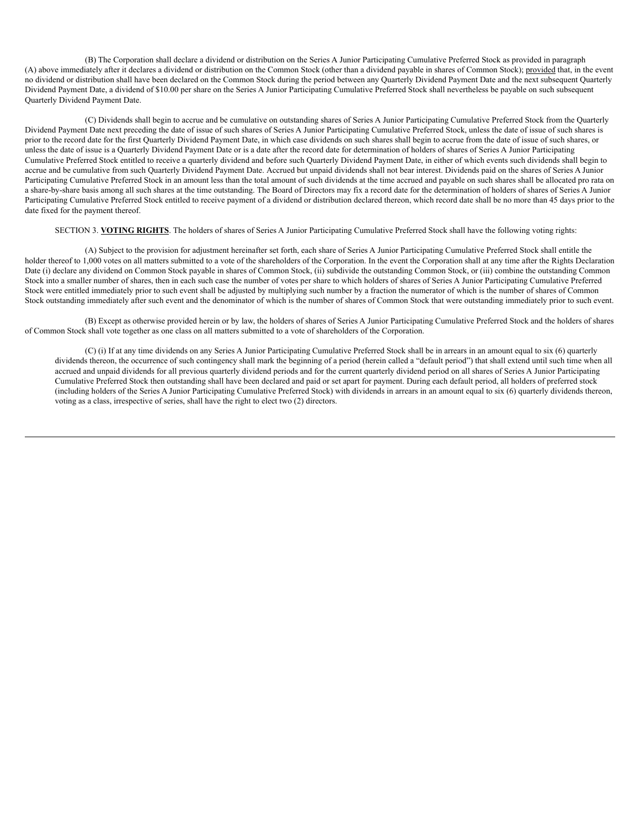(B) The Corporation shall declare a dividend or distribution on the Series A Junior Participating Cumulative Preferred Stock as provided in paragraph (A) above immediately after it declares a dividend or distribution on the Common Stock (other than a dividend payable in shares of Common Stock); provided that, in the event no dividend or distribution shall have been declared on the Common Stock during the period between any Quarterly Dividend Payment Date and the next subsequent Quarterly Dividend Payment Date, a dividend of \$10.00 per share on the Series A Junior Participating Cumulative Preferred Stock shall nevertheless be payable on such subsequent Quarterly Dividend Payment Date.

(C) Dividends shall begin to accrue and be cumulative on outstanding shares of Series A Junior Participating Cumulative Preferred Stock from the Quarterly Dividend Payment Date next preceding the date of issue of such shares of Series A Junior Participating Cumulative Preferred Stock, unless the date of issue of such shares is prior to the record date for the first Quarterly Dividend Payment Date, in which case dividends on such shares shall begin to accrue from the date of issue of such shares, or unless the date of issue is a Quarterly Dividend Payment Date or is a date after the record date for determination of holders of shares of Series A Junior Participating Cumulative Preferred Stock entitled to receive a quarterly dividend and before such Quarterly Dividend Payment Date, in either of which events such dividends shall begin to accrue and be cumulative from such Quarterly Dividend Payment Date. Accrued but unpaid dividends shall not bear interest. Dividends paid on the shares of Series A Junior Participating Cumulative Preferred Stock in an amount less than the total amount of such dividends at the time accrued and payable on such shares shall be allocated pro rata on a share-by-share basis among all such shares at the time outstanding. The Board of Directors may fix a record date for the determination of holders of shares of Series A Junior Participating Cumulative Preferred Stock entitled to receive payment of a dividend or distribution declared thereon, which record date shall be no more than 45 days prior to the date fixed for the payment thereof.

SECTION 3. **VOTING RIGHTS**. The holders of shares of Series A Junior Participating Cumulative Preferred Stock shall have the following voting rights:

(A) Subject to the provision for adjustment hereinafter set forth, each share of Series A Junior Participating Cumulative Preferred Stock shall entitle the holder thereof to 1,000 votes on all matters submitted to a vote of the shareholders of the Corporation. In the event the Corporation shall at any time after the Rights Declaration Date (i) declare any dividend on Common Stock payable in shares of Common Stock, (ii) subdivide the outstanding Common Stock, or (iii) combine the outstanding Common Stock into a smaller number of shares, then in each such case the number of votes per share to which holders of shares of Series A Junior Participating Cumulative Preferred Stock were entitled immediately prior to such event shall be adjusted by multiplying such number by a fraction the numerator of which is the number of shares of Common Stock outstanding immediately after such event and the denominator of which is the number of shares of Common Stock that were outstanding immediately prior to such event.

(B) Except as otherwise provided herein or by law, the holders of shares of Series A Junior Participating Cumulative Preferred Stock and the holders of shares of Common Stock shall vote together as one class on all matters submitted to a vote of shareholders of the Corporation.

(C) (i) If at any time dividends on any Series A Junior Participating Cumulative Preferred Stock shall be in arrears in an amount equal to six (6) quarterly dividends thereon, the occurrence of such contingency shall mark the beginning of a period (herein called a "default period") that shall extend until such time when all accrued and unpaid dividends for all previous quarterly dividend periods and for the current quarterly dividend period on all shares of Series A Junior Participating Cumulative Preferred Stock then outstanding shall have been declared and paid or set apart for payment. During each default period, all holders of preferred stock (including holders of the Series A Junior Participating Cumulative Preferred Stock) with dividends in arrears in an amount equal to six (6) quarterly dividends thereon, voting as a class, irrespective of series, shall have the right to elect two (2) directors.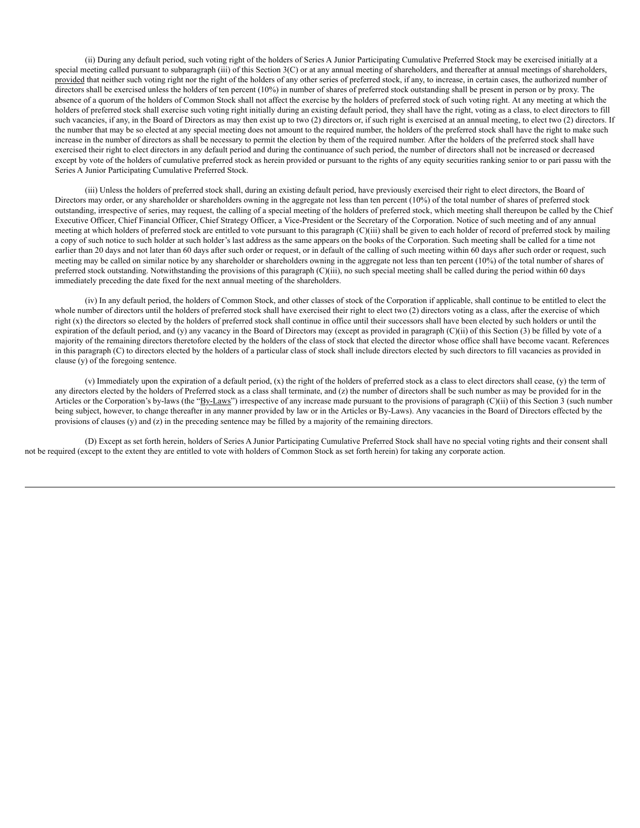(ii) During any default period, such voting right of the holders of Series A Junior Participating Cumulative Preferred Stock may be exercised initially at a special meeting called pursuant to subparagraph (iii) of this Section  $3(C)$  or at any annual meeting of shareholders, and thereafter at annual meetings of shareholders, provided that neither such voting right nor the right of the holders of any other series of preferred stock, if any, to increase, in certain cases, the authorized number of directors shall be exercised unless the holders of ten percent (10%) in number of shares of preferred stock outstanding shall be present in person or by proxy. The absence of a quorum of the holders of Common Stock shall not affect the exercise by the holders of preferred stock of such voting right. At any meeting at which the holders of preferred stock shall exercise such voting right initially during an existing default period, they shall have the right, voting as a class, to elect directors to fill such vacancies, if any, in the Board of Directors as may then exist up to two (2) directors or, if such right is exercised at an annual meeting, to elect two (2) directors. If the number that may be so elected at any special meeting does not amount to the required number, the holders of the preferred stock shall have the right to make such increase in the number of directors as shall be necessary to permit the election by them of the required number. After the holders of the preferred stock shall have exercised their right to elect directors in any default period and during the continuance of such period, the number of directors shall not be increased or decreased except by vote of the holders of cumulative preferred stock as herein provided or pursuant to the rights of any equity securities ranking senior to or pari passu with the Series A Junior Participating Cumulative Preferred Stock.

(iii) Unless the holders of preferred stock shall, during an existing default period, have previously exercised their right to elect directors, the Board of Directors may order, or any shareholder or shareholders owning in the aggregate not less than ten percent (10%) of the total number of shares of preferred stock outstanding, irrespective of series, may request, the calling of a special meeting of the holders of preferred stock, which meeting shall thereupon be called by the Chief Executive Officer, Chief Financial Officer, Chief Strategy Officer, a Vice-President or the Secretary of the Corporation. Notice of such meeting and of any annual meeting at which holders of preferred stock are entitled to vote pursuant to this paragraph (C)(iii) shall be given to each holder of record of preferred stock by mailing a copy of such notice to such holder at such holder's last address as the same appears on the books of the Corporation. Such meeting shall be called for a time not earlier than 20 days and not later than 60 days after such order or request, or in default of the calling of such meeting within 60 days after such order or request, such meeting may be called on similar notice by any shareholder or shareholders owning in the aggregate not less than ten percent (10%) of the total number of shares of preferred stock outstanding. Notwithstanding the provisions of this paragraph (C)(iii), no such special meeting shall be called during the period within 60 days immediately preceding the date fixed for the next annual meeting of the shareholders.

(iv) In any default period, the holders of Common Stock, and other classes of stock of the Corporation if applicable, shall continue to be entitled to elect the whole number of directors until the holders of preferred stock shall have exercised their right to elect two (2) directors voting as a class, after the exercise of which right (x) the directors so elected by the holders of preferred stock shall continue in office until their successors shall have been elected by such holders or until the expiration of the default period, and (y) any vacancy in the Board of Directors may (except as provided in paragraph  $(C)(ii)$  of this Section (3) be filled by vote of a majority of the remaining directors theretofore elected by the holders of the class of stock that elected the director whose office shall have become vacant. References in this paragraph (C) to directors elected by the holders of a particular class of stock shall include directors elected by such directors to fill vacancies as provided in clause (y) of the foregoing sentence.

(v) Immediately upon the expiration of a default period,  $(x)$  the right of the holders of preferred stock as a class to elect directors shall cease,  $(y)$  the term of any directors elected by the holders of Preferred stock as a class shall terminate, and (z) the number of directors shall be such number as may be provided for in the Articles or the Corporation's by-laws (the "By-Laws") irrespective of any increase made pursuant to the provisions of paragraph (C)(ii) of this Section 3 (such number being subject, however, to change thereafter in any manner provided by law or in the Articles or By-Laws). Any vacancies in the Board of Directors effected by the provisions of clauses (y) and (z) in the preceding sentence may be filled by a majority of the remaining directors.

(D) Except as set forth herein, holders of Series A Junior Participating Cumulative Preferred Stock shall have no special voting rights and their consent shall not be required (except to the extent they are entitled to vote with holders of Common Stock as set forth herein) for taking any corporate action.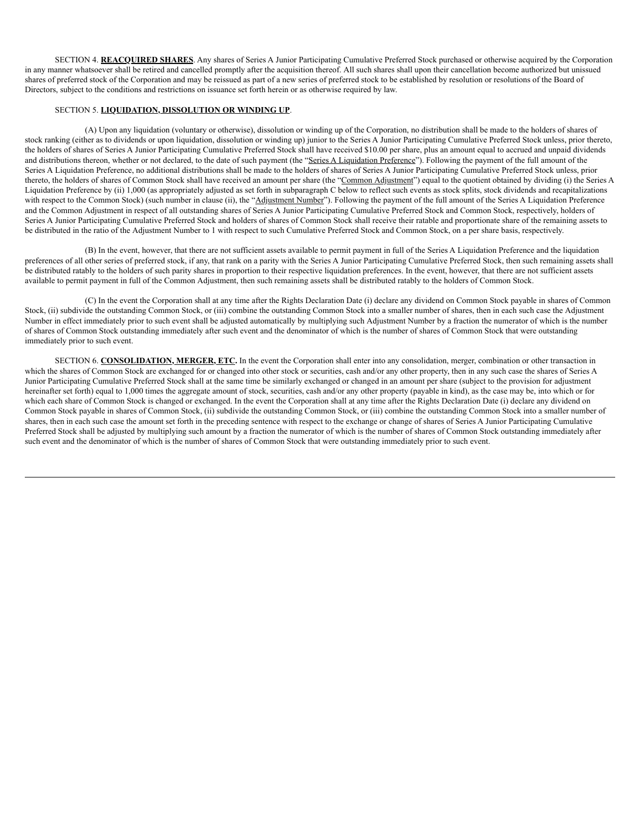SECTION 4. **REACQUIRED SHARES**. Any shares of Series A Junior Participating Cumulative Preferred Stock purchased or otherwise acquired by the Corporation in any manner whatsoever shall be retired and cancelled promptly after the acquisition thereof. All such shares shall upon their cancellation become authorized but unissued shares of preferred stock of the Corporation and may be reissued as part of a new series of preferred stock to be established by resolution or resolutions of the Board of Directors, subject to the conditions and restrictions on issuance set forth herein or as otherwise required by law.

#### SECTION 5. **LIQUIDATION, DISSOLUTION OR WINDING UP**.

(A) Upon any liquidation (voluntary or otherwise), dissolution or winding up of the Corporation, no distribution shall be made to the holders of shares of stock ranking (either as to dividends or upon liquidation, dissolution or winding up) junior to the Series A Junior Participating Cumulative Preferred Stock unless, prior thereto, the holders of shares of Series A Junior Participating Cumulative Preferred Stock shall have received \$10.00 per share, plus an amount equal to accrued and unpaid dividends and distributions thereon, whether or not declared, to the date of such payment (the "Series A Liquidation Preference"). Following the payment of the full amount of the Series A Liquidation Preference, no additional distributions shall be made to the holders of shares of Series A Junior Participating Cumulative Preferred Stock unless, prior thereto, the holders of shares of Common Stock shall have received an amount per share (the "Common Adjustment") equal to the quotient obtained by dividing (i) the Series A Liquidation Preference by (ii) 1,000 (as appropriately adjusted as set forth in subparagraph C below to reflect such events as stock splits, stock dividends and recapitalizations with respect to the Common Stock) (such number in clause (ii), the "Adjustment Number"). Following the payment of the full amount of the Series A Liquidation Preference and the Common Adjustment in respect of all outstanding shares of Series A Junior Participating Cumulative Preferred Stock and Common Stock, respectively, holders of Series A Junior Participating Cumulative Preferred Stock and holders of shares of Common Stock shall receive their ratable and proportionate share of the remaining assets to be distributed in the ratio of the Adjustment Number to 1 with respect to such Cumulative Preferred Stock and Common Stock, on a per share basis, respectively.

(B) In the event, however, that there are not sufficient assets available to permit payment in full of the Series A Liquidation Preference and the liquidation preferences of all other series of preferred stock, if any, that rank on a parity with the Series A Junior Participating Cumulative Preferred Stock, then such remaining assets shall be distributed ratably to the holders of such parity shares in proportion to their respective liquidation preferences. In the event, however, that there are not sufficient assets available to permit payment in full of the Common Adjustment, then such remaining assets shall be distributed ratably to the holders of Common Stock.

(C) In the event the Corporation shall at any time after the Rights Declaration Date (i) declare any dividend on Common Stock payable in shares of Common Stock, (ii) subdivide the outstanding Common Stock, or (iii) combine the outstanding Common Stock into a smaller number of shares, then in each such case the Adjustment Number in effect immediately prior to such event shall be adjusted automatically by multiplying such Adjustment Number by a fraction the numerator of which is the number of shares of Common Stock outstanding immediately after such event and the denominator of which is the number of shares of Common Stock that were outstanding immediately prior to such event.

SECTION 6. **CONSOLIDATION, MERGER, ETC.** In the event the Corporation shall enter into any consolidation, merger, combination or other transaction in which the shares of Common Stock are exchanged for or changed into other stock or securities, cash and/or any other property, then in any such case the shares of Series A Junior Participating Cumulative Preferred Stock shall at the same time be similarly exchanged or changed in an amount per share (subject to the provision for adjustment hereinafter set forth) equal to 1,000 times the aggregate amount of stock, securities, cash and/or any other property (payable in kind), as the case may be, into which or for which each share of Common Stock is changed or exchanged. In the event the Corporation shall at any time after the Rights Declaration Date (i) declare any dividend on Common Stock payable in shares of Common Stock, (ii) subdivide the outstanding Common Stock, or (iii) combine the outstanding Common Stock into a smaller number of shares, then in each such case the amount set forth in the preceding sentence with respect to the exchange or change of shares of Series A Junior Participating Cumulative Preferred Stock shall be adjusted by multiplying such amount by a fraction the numerator of which is the number of shares of Common Stock outstanding immediately after such event and the denominator of which is the number of shares of Common Stock that were outstanding immediately prior to such event.